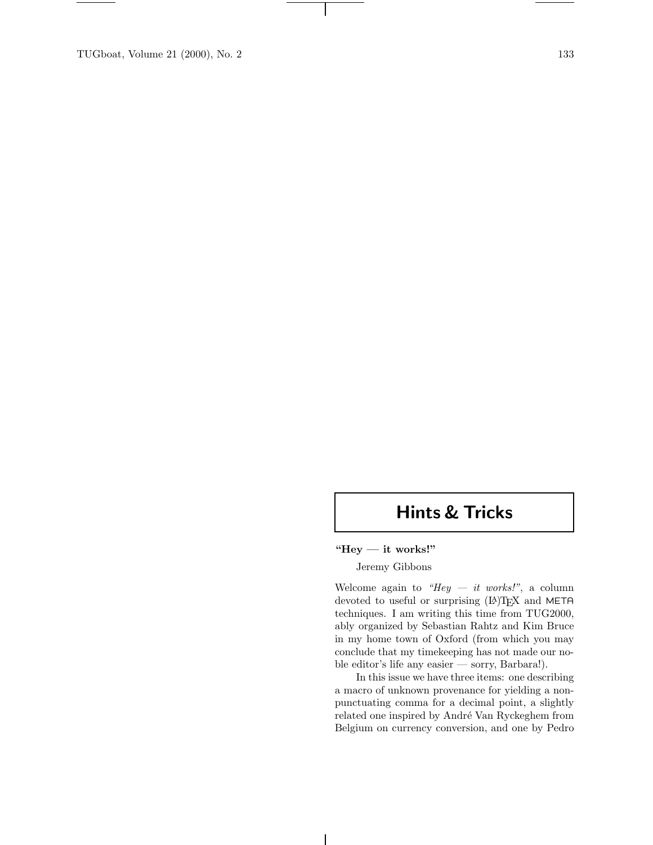TUGboat, Volume 21 (2000), No. 2 133

# **Hints & Tricks**

#### **"Hey — it works!"**

## Jeremy Gibbons

Welcome again to *"Hey — it works!"*, a column devoted to useful or surprising (IA)TEX and META techniques. I am writing this time from TUG2000, ably organized by Sebastian Rahtz and Kim Bruce in my home town of Oxford (from which you may conclude that my timekeeping has not made our noble editor's life any easier — sorry, Barbara!).

In this issue we have three items: one describing a macro of unknown provenance for yielding a nonpunctuating comma for a decimal point, a slightly related one inspired by André Van Ryckeghem from Belgium on currency conversion, and one by Pedro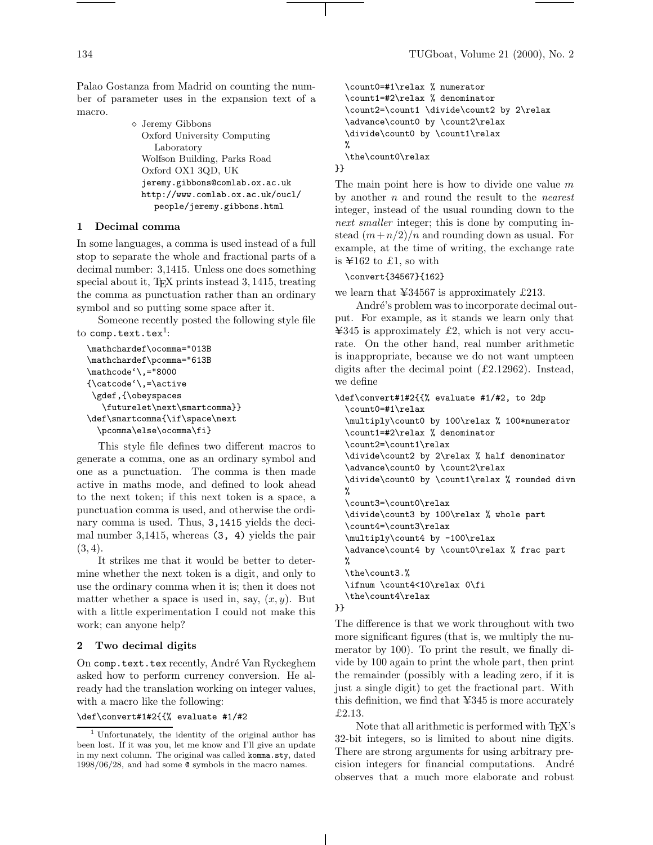Palao Gostanza from Madrid on counting the number of parameter uses in the expansion text of a macro.

> Jeremy Gibbons Oxford University Computing Laboratory Wolfson Building, Parks Road Oxford OX1 3QD, UK jeremy.gibbons@comlab.ox.ac.uk http://www.comlab.ox.ac.uk/oucl/ people/jeremy.gibbons.html

## **1 Decimal comma**

In some languages, a comma is used instead of a full stop to separate the whole and fractional parts of a decimal number: 3,1415. Unless one does something special about it, TEX prints instead 3, 1415, treating the comma as punctuation rather than an ordinary symbol and so putting some space after it.

Someone recently posted the following style file to comp.text.tex<sup>1</sup>:

```
\mathchardef\ocomma="013B
\mathchardef\pcomma="613B
\mathcode'\,="8000
{\catcode'\,=\active
\gdef,{\obeyspaces
   \futurelet\next\smartcomma}}
\def\smartcomma{\if\space\next
 \pcomma\else\ocomma\fi}
```
This style file defines two different macros to generate a comma, one as an ordinary symbol and one as a punctuation. The comma is then made active in maths mode, and defined to look ahead to the next token; if this next token is a space, a punctuation comma is used, and otherwise the ordinary comma is used. Thus, 3,1415 yields the decimal number 3,1415, whereas (3, 4) yields the pair  $(3, 4)$ .

It strikes me that it would be better to determine whether the next token is a digit, and only to use the ordinary comma when it is; then it does not matter whether a space is used in, say,  $(x, y)$ . But with a little experimentation I could not make this work; can anyone help?

## **2 Two decimal digits**

On comp.text.tex recently, André Van Ryckeghem asked how to perform currency conversion. He already had the translation working on integer values, with a macro like the following:

#### \def\convert#1#2{{% evaluate #1/#2

```
\count0=#1\relax % numerator
  \count1=#2\relax % denominator
  \count2=\count1 \divide\count2 by 2\relax
  \advance\count0 by \count2\relax
  \divide\count0 by \count1\relax
 %
  \the\count0\relax
}}
```
The main point here is how to divide one value  $m$ by another n and round the result to the *nearest* integer, instead of the usual rounding down to the *next smaller* integer; this is done by computing instead  $(m+n/2)/n$  and rounding down as usual. For example, at the time of writing, the exchange rate is  $\text{\textsterling}162$  to £1, so with

\convert{34567}{162}

we learn that  $\text{\textless} 34567$  is approximately £213.

André's problem was to incorporate decimal output. For example, as it stands we learn only that  $\text{\textsterling}345$  is approximately £2, which is not very accurate. On the other hand, real number arithmetic is inappropriate, because we do not want umpteen digits after the decimal point (£2.12962). Instead, we define

```
\def\convert#1#2{{% evaluate #1/#2, to 2dp
  \count0=#1\relax
  \multiply\count0 by 100\relax % 100*numerator
  \count1=#2\relax % denominator
  \count2=\count1\relax
  \divide\count2 by 2\relax % half denominator
  \advance\count0 by \count2\relax
  \divide\count0 by \count1\relax % rounded divn
 %
  \count3=\count0\relax
  \divide\count3 by 100\relax % whole part
  \count4=\count3\relax
  \multiply\count4 by -100\relax
  \advance\count4 by \count0\relax % frac part
 %
  \the\count3.%
  \ifnum \count4<10\relax 0\fi
  \the\count4\relax
}}
```
The difference is that we work throughout with two more significant figures (that is, we multiply the numerator by 100). To print the result, we finally divide by 100 again to print the whole part, then print the remainder (possibly with a leading zero, if it is just a single digit) to get the fractional part. With this definition, we find that  $\text{\textsterling}345$  is more accurately £2.13.

Note that all arithmetic is performed with TFX's 32-bit integers, so is limited to about nine digits. There are strong arguments for using arbitrary precision integers for financial computations. André observes that a much more elaborate and robust

<sup>1</sup> Unfortunately, the identity of the original author has been lost. If it was you, let me know and I'll give an update in my next column. The original was called komma.sty, dated 1998/06/28, and had some @ symbols in the macro names.